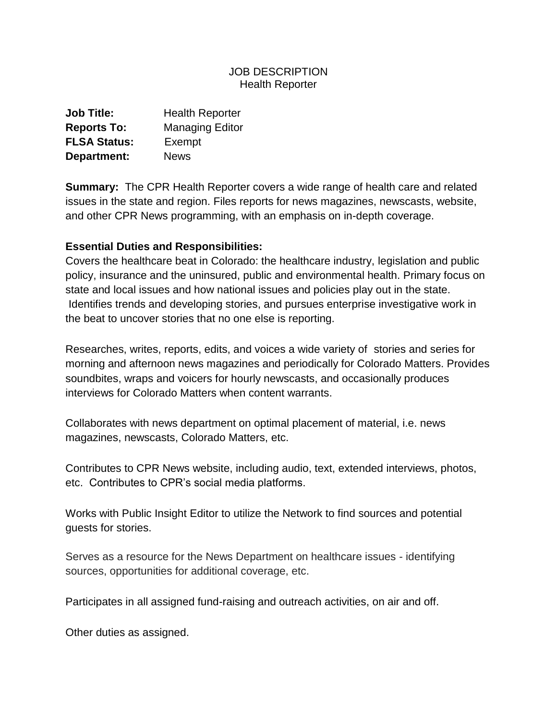## JOB DESCRIPTION Health Reporter

| <b>Job Title:</b>   | <b>Health Reporter</b> |
|---------------------|------------------------|
| <b>Reports To:</b>  | <b>Managing Editor</b> |
| <b>FLSA Status:</b> | Exempt                 |
| Department:         | <b>News</b>            |

**Summary:** The CPR Health Reporter covers a wide range of health care and related issues in the state and region. Files reports for news magazines, newscasts, website, and other CPR News programming, with an emphasis on in-depth coverage.

## **Essential Duties and Responsibilities:**

Covers the healthcare beat in Colorado: the healthcare industry, legislation and public policy, insurance and the uninsured, public and environmental health. Primary focus on state and local issues and how national issues and policies play out in the state. Identifies trends and developing stories, and pursues enterprise investigative work in the beat to uncover stories that no one else is reporting.

Researches, writes, reports, edits, and voices a wide variety of stories and series for morning and afternoon news magazines and periodically for Colorado Matters. Provides soundbites, wraps and voicers for hourly newscasts, and occasionally produces interviews for Colorado Matters when content warrants.

Collaborates with news department on optimal placement of material, i.e. news magazines, newscasts, Colorado Matters, etc.

Contributes to CPR News website, including audio, text, extended interviews, photos, etc. Contributes to CPR's social media platforms.

Works with Public Insight Editor to utilize the Network to find sources and potential guests for stories.

Serves as a resource for the News Department on healthcare issues - identifying sources, opportunities for additional coverage, etc.

Participates in all assigned fund-raising and outreach activities, on air and off.

Other duties as assigned.